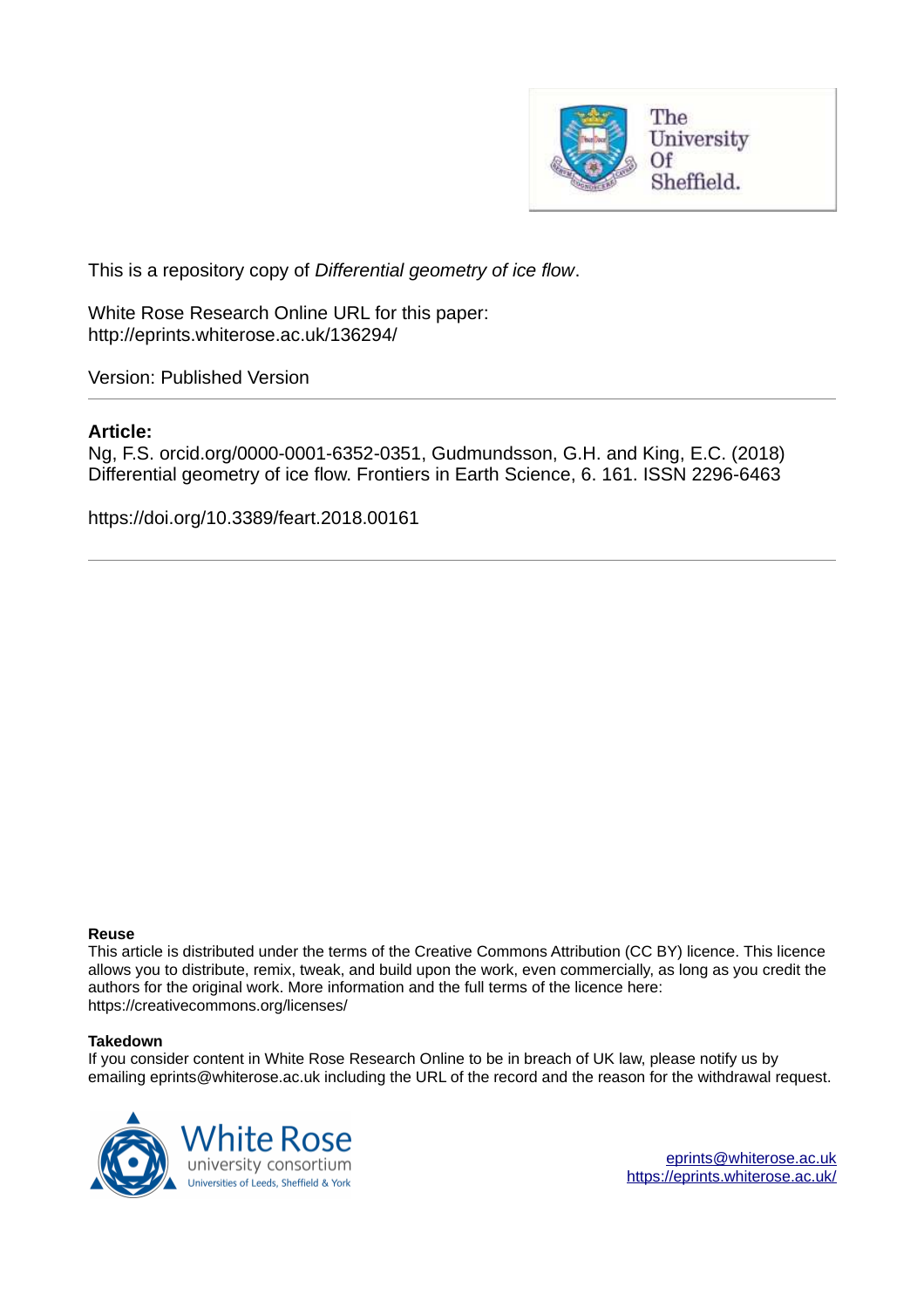

This is a repository copy of *Differential geometry of ice flow*.

White Rose Research Online URL for this paper: http://eprints.whiterose.ac.uk/136294/

Version: Published Version

## **Article:**

Ng, F.S. orcid.org/0000-0001-6352-0351, Gudmundsson, G.H. and King, E.C. (2018) Differential geometry of ice flow. Frontiers in Earth Science, 6. 161. ISSN 2296-6463

https://doi.org/10.3389/feart.2018.00161

#### **Reuse**

This article is distributed under the terms of the Creative Commons Attribution (CC BY) licence. This licence allows you to distribute, remix, tweak, and build upon the work, even commercially, as long as you credit the authors for the original work. More information and the full terms of the licence here: https://creativecommons.org/licenses/

#### **Takedown**

If you consider content in White Rose Research Online to be in breach of UK law, please notify us by emailing eprints@whiterose.ac.uk including the URL of the record and the reason for the withdrawal request.

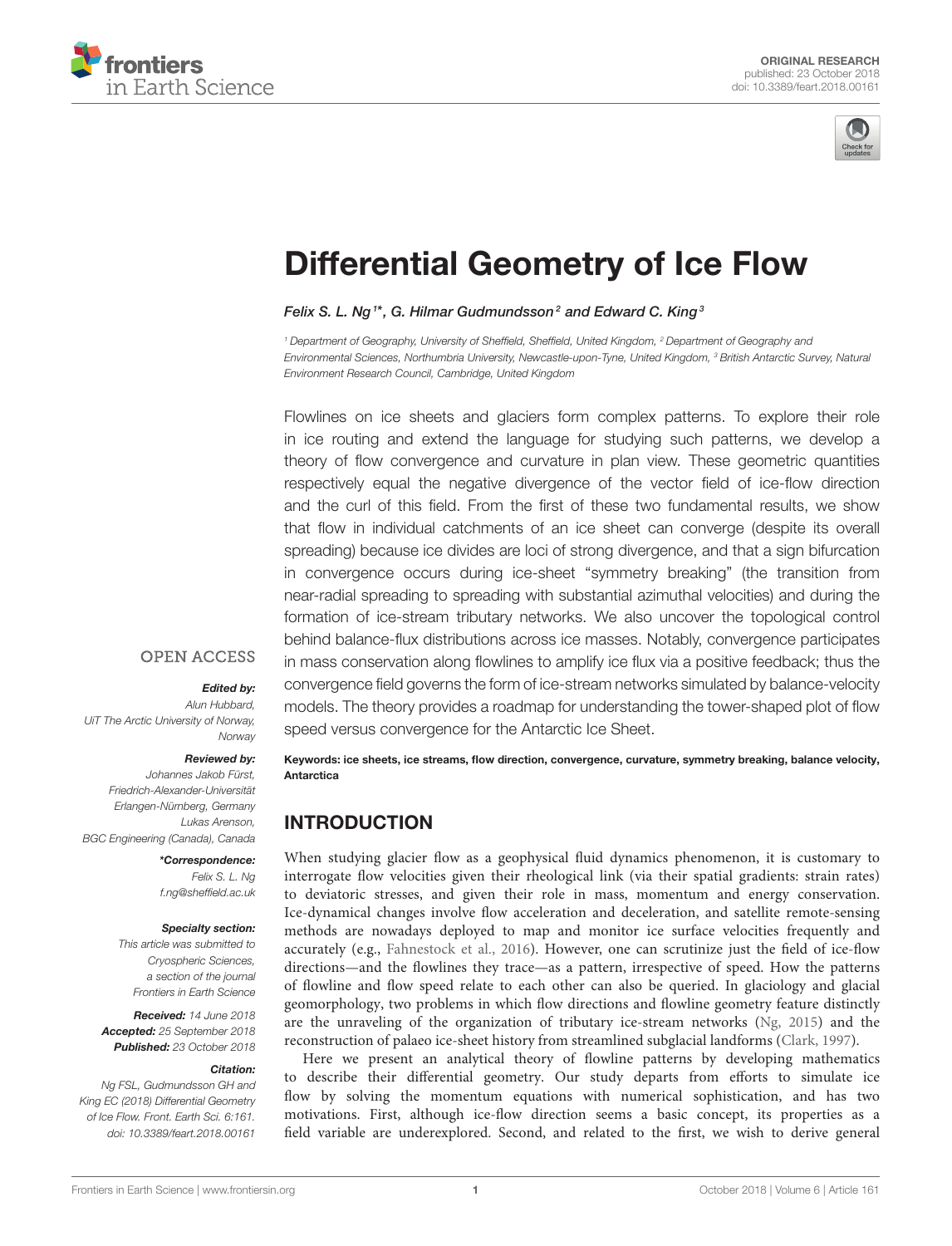



# [Differential Geometry of Ice Flow](https://www.frontiersin.org/articles/10.3389/feart.2018.00161/full)

[Felix S. L. Ng](http://loop.frontiersin.org/people/220892/overview)  $^{1\star}$ , [G. Hilmar Gudmundsson](http://loop.frontiersin.org/people/303842/overview) $^2$  and [Edward C. King](http://loop.frontiersin.org/people/577409/overview)  $^3$ 

<sup>1</sup> Department of Geography, University of Sheffield, Sheffield, United Kingdom, <sup>2</sup> Department of Geography and Environmental Sciences, Northumbria University, Newcastle-upon-Tyne, United Kingdom, <sup>3</sup> British Antarctic Survey, Natural Environment Research Council, Cambridge, United Kingdom

<span id="page-1-0"></span>Flowlines on ice sheets and glaciers form complex patterns. To explore their role in ice routing and extend the language for studying such patterns, we develop a theory of flow convergence and curvature in plan view. These geometric quantities respectively equal the negative divergence of the vector field of ice-flow direction and the curl of this field. From the first of these two fundamental results, we show that flow in individual catchments of an ice sheet can converge (despite its overall spreading) because ice divides are loci of strong divergence, and that a sign bifurcation in convergence occurs during ice-sheet "symmetry breaking" (the transition from near-radial spreading to spreading with substantial azimuthal velocities) and during the formation of ice-stream tributary networks. We also uncover the topological control behind balance-flux distributions across ice masses. Notably, convergence participates in mass conservation along flowlines to amplify ice flux via a positive feedback; thus the convergence field governs the form of ice-stream networks simulated by balance-velocity models. The theory provides a roadmap for understanding the tower-shaped plot of flow speed versus convergence for the Antarctic Ice Sheet.

#### **OPEN ACCESS**

#### Edited by:

Alun Hubbard, UiT The Arctic University of Norway, **Norway** 

#### Reviewed by:

Johannes Jakob Fürst, Friedrich-Alexander-Universität Erlangen-Nürnberg, Germany Lukas Arenson, BGC Engineering (Canada), Canada

> \*Correspondence: Felix S. L. Ng [f.ng@sheffield.ac.uk](mailto:f.ng@sheffield.ac.uk)

#### Specialty section:

This article was submitted to Cryospheric Sciences, a section of the journal Frontiers in Earth Science

Received: 14 June 2018 Accepted: 25 September 2018 Published: 23 October 2018

#### Citation:

Ng FSL, Gudmundsson GH and King EC (2018) Differential Geometry of Ice Flow. Front. Earth Sci. 6:161. doi: [10.3389/feart.2018.00161](https://doi.org/10.3389/feart.2018.00161) Keywords: ice sheets, ice streams, flow direction, convergence, curvature, symmetry breaking, balance velocity, Antarctica

# INTRODUCTION

When studying glacier flow as a geophysical fluid dynamics phenomenon, it is customary to interrogate flow velocities given their rheological link (via their spatial gradients: strain rates) to deviatoric stresses, and given their role in mass, momentum and energy conservation. Ice-dynamical changes involve flow acceleration and deceleration, and satellite remote-sensing methods are nowadays deployed to map and monitor ice surface velocities frequently and accurately (e.g., [Fahnestock et al., 2016\)](#page-8-0). However, one can scrutinize just the field of ice-flow directions—and the flowlines they trace—as a pattern, irrespective of speed. How the patterns of flowline and flow speed relate to each other can also be queried. In glaciology and glacial geomorphology, two problems in which flow directions and flowline geometry feature distinctly are the unraveling of the organization of tributary ice-stream networks [\(Ng, 2015\)](#page-9-0) and the reconstruction of palaeo ice-sheet history from streamlined subglacial landforms [\(Clark, 1997\)](#page-8-1).

Here we present an analytical theory of flowline patterns by developing mathematics to describe their differential geometry. Our study departs from efforts to simulate ice flow by solving the momentum equations with numerical sophistication, and has two motivations. First, although ice-flow direction seems a basic concept, its properties as a field variable are underexplored. Second, and related to the first, we wish to derive general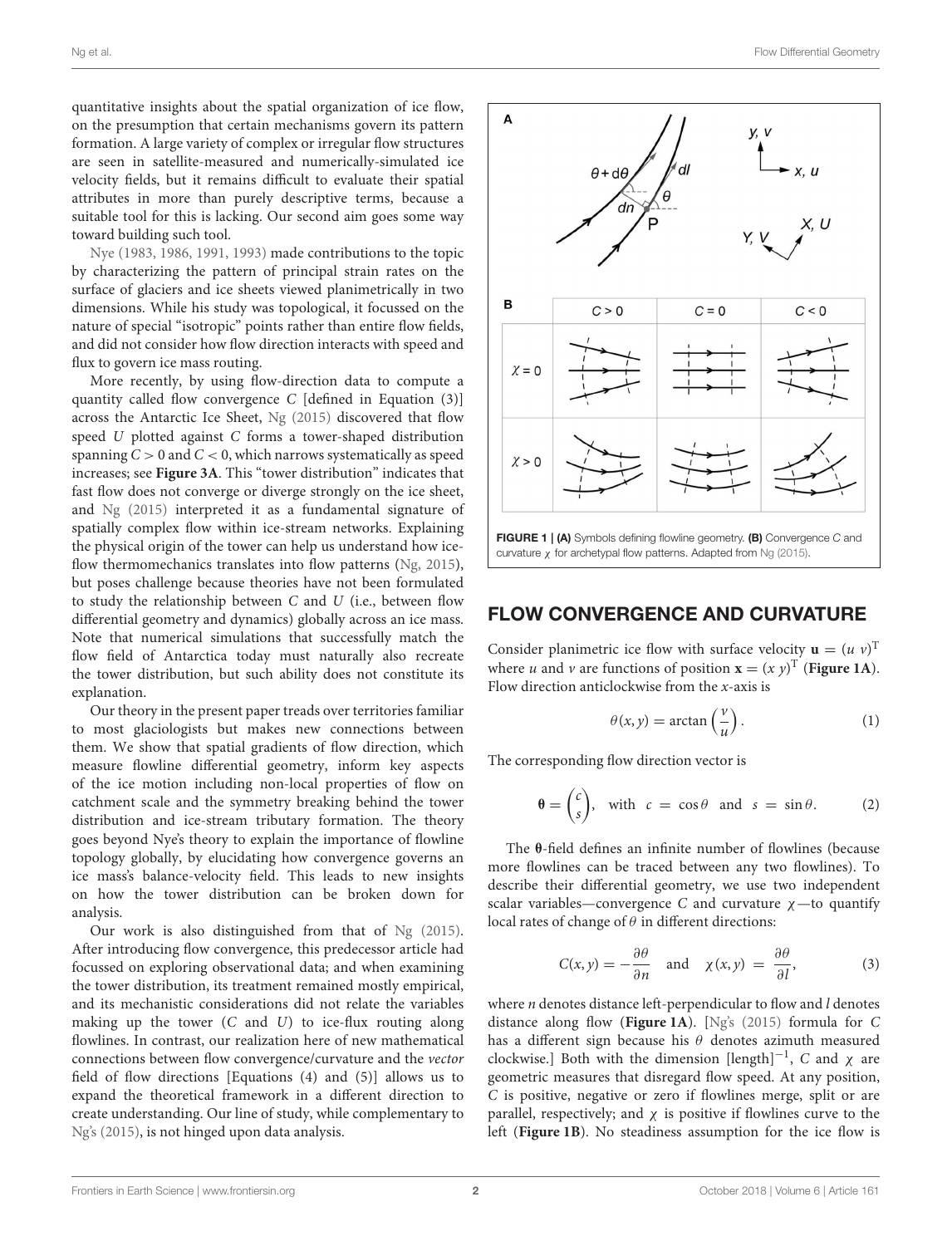quantitative insights about the spatial organization of ice flow, on the presumption that certain mechanisms govern its pattern formation. A large variety of complex or irregular flow structures are seen in satellite-measured and numerically-simulated ice velocity fields, but it remains difficult to evaluate their spatial attributes in more than purely descriptive terms, because a suitable tool for this is lacking. Our second aim goes some way toward building such tool.

[Nye \(1983,](#page-9-1) [1986,](#page-9-2) [1991,](#page-9-3) [1993\)](#page-9-4) made contributions to the topic by characterizing the pattern of principal strain rates on the surface of glaciers and ice sheets viewed planimetrically in two dimensions. While his study was topological, it focussed on the nature of special "isotropic" points rather than entire flow fields, and did not consider how flow direction interacts with speed and flux to govern ice mass routing.

More recently, by using flow-direction data to compute a quantity called flow convergence C [defined in Equation (3)] across the Antarctic Ice Sheet, [Ng \(2015\)](#page-9-0) discovered that flow speed U plotted against C forms a tower-shaped distribution spanning  $C > 0$  and  $C < 0$ , which narrows systematically as speed increases; see **[Figure 3A](#page-4-0)**. This "tower distribution" indicates that fast flow does not converge or diverge strongly on the ice sheet, and [Ng \(2015\)](#page-9-0) interpreted it as a fundamental signature of spatially complex flow within ice-stream networks. Explaining the physical origin of the tower can help us understand how ice-flow thermomechanics translates into flow patterns [\(Ng, 2015\)](#page-9-0), but poses challenge because theories have not been formulated to study the relationship between  $C$  and  $U$  (i.e., between flow differential geometry and dynamics) globally across an ice mass. Note that numerical simulations that successfully match the flow field of Antarctica today must naturally also recreate the tower distribution, but such ability does not constitute its explanation.

Our theory in the present paper treads over territories familiar to most glaciologists but makes new connections between them. We show that spatial gradients of flow direction, which measure flowline differential geometry, inform key aspects of the ice motion including non-local properties of flow on catchment scale and the symmetry breaking behind the tower distribution and ice-stream tributary formation. The theory goes beyond Nye's theory to explain the importance of flowline topology globally, by elucidating how convergence governs an ice mass's balance-velocity field. This leads to new insights on how the tower distribution can be broken down for analysis.

Our work is also distinguished from that of [Ng \(2015\)](#page-9-0). After introducing flow convergence, this predecessor article had focussed on exploring observational data; and when examining the tower distribution, its treatment remained mostly empirical, and its mechanistic considerations did not relate the variables making up the tower  $(C \text{ and } U)$  to ice-flux routing along flowlines. In contrast, our realization here of new mathematical connections between flow convergence/curvature and the vector field of flow directions [Equations (4) and (5)] allows us to expand the theoretical framework in a different direction to create understanding. Our line of study, while complementary to [Ng's \(2015\)](#page-9-0), is not hinged upon data analysis.



#### FLOW CONVERGENCE AND CURVATURE

Consider planimetric ice flow with surface velocity  $\mathbf{u} = (u \ v)^T$ where *u* and *v* are functions of position  $\mathbf{x} = (x \ y)^T$  ([Figure 1A](#page-1-0)). Flow direction anticlockwise from the  $x$ -axis is

$$
\theta(x, y) = \arctan\left(\frac{v}{u}\right). \tag{1}
$$

The corresponding flow direction vector is

$$
\theta = \begin{pmatrix} c \\ s \end{pmatrix}, \text{ with } c = \cos \theta \text{ and } s = \sin \theta. \tag{2}
$$

The θ-field defines an infinite number of flowlines (because more flowlines can be traced between any two flowlines). To describe their differential geometry, we use two independent scalar variables—convergence C and curvature  $\chi$ —to quantify local rates of change of  $\theta$  in different directions:

$$
C(x, y) = -\frac{\partial \theta}{\partial n} \quad \text{and} \quad \chi(x, y) = \frac{\partial \theta}{\partial l}, \tag{3}
$$

where  $n$  denotes distance left-perpendicular to flow and  $l$  denotes distance along flow (**[Figure 1A](#page-1-0)**). [\[Ng's \(2015\)](#page-9-0) formula for C has a different sign because his  $\theta$  denotes azimuth measured clockwise.] Both with the dimension [length]<sup>-1</sup>, C and  $\chi$  are geometric measures that disregard flow speed. At any position, C is positive, negative or zero if flowlines merge, split or are parallel, respectively; and  $\chi$  is positive if flowlines curve to the left (**[Figure 1B](#page-1-0)**). No steadiness assumption for the ice flow is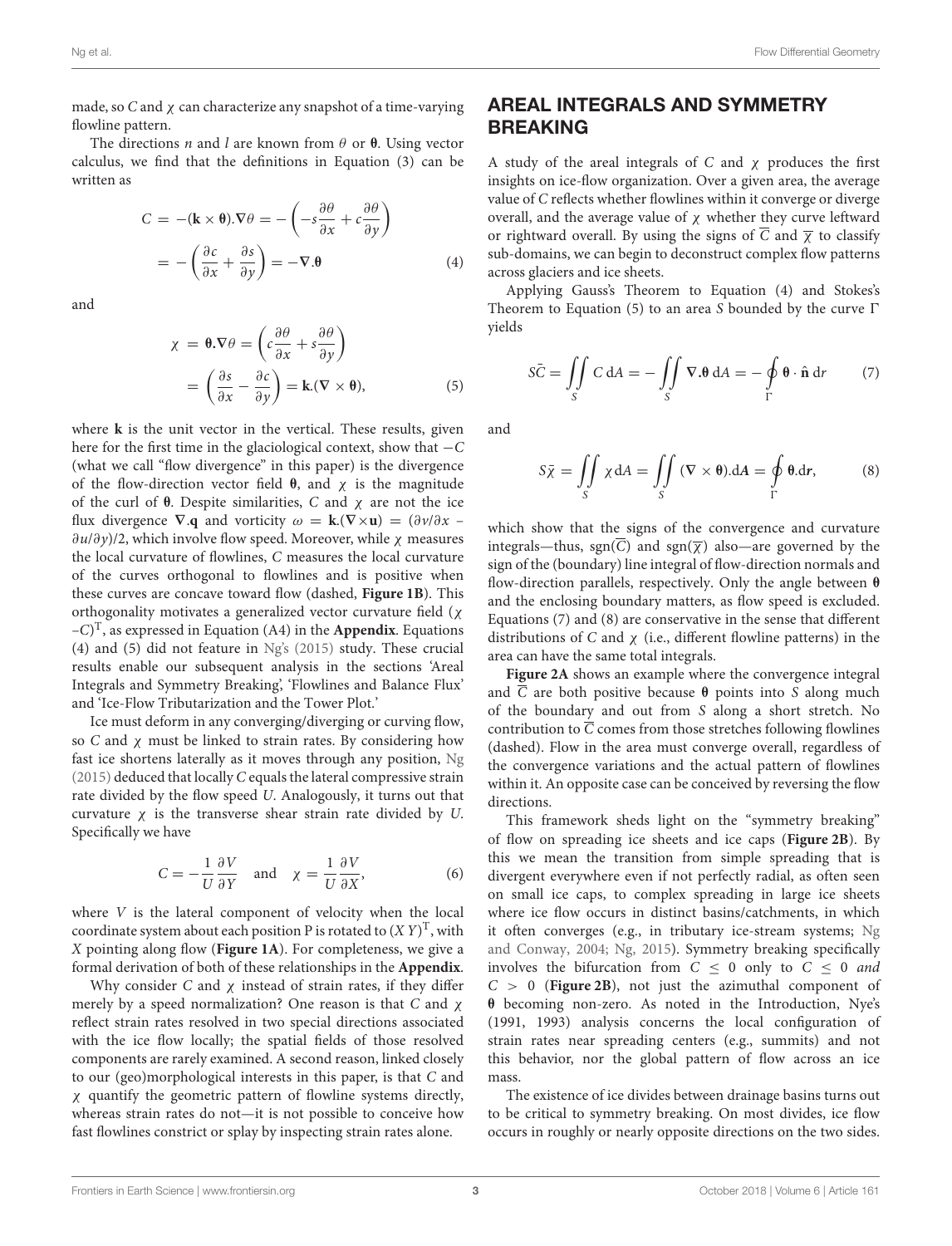made, so C and  $\chi$  can characterize any snapshot of a time-varying flowline pattern.

The directions *n* and *l* are known from  $\theta$  or  $\theta$ . Using vector calculus, we find that the definitions in Equation (3) can be written as

$$
C = -(\mathbf{k} \times \mathbf{\theta}).\nabla \theta = -\left(-s\frac{\partial \theta}{\partial x} + c\frac{\partial \theta}{\partial y}\right)
$$

$$
= -\left(\frac{\partial c}{\partial x} + \frac{\partial s}{\partial y}\right) = -\nabla \cdot \mathbf{\theta}
$$
(4)

and

$$
\chi = \theta.\nabla\theta = \left(c\frac{\partial\theta}{\partial x} + s\frac{\partial\theta}{\partial y}\right)
$$

$$
= \left(\frac{\partial s}{\partial x} - \frac{\partial c}{\partial y}\right) = k(\nabla \times \theta), \tag{5}
$$

where **k** is the unit vector in the vertical. These results, given here for the first time in the glaciological context, show that −C (what we call "flow divergence" in this paper) is the divergence of the flow-direction vector field  $θ$ , and  $χ$  is the magnitude of the curl of  $\theta$ . Despite similarities, C and  $\chi$  are not the ice flux divergence  $\nabla \cdot \mathbf{q}$  and vorticity  $\omega = \mathbf{k} \cdot (\nabla \times \mathbf{u}) = (\partial \nu / \partial x - \partial \mathbf{u})$  $\partial u/\partial y$ /2, which involve flow speed. Moreover, while  $\chi$  measures the local curvature of flowlines, C measures the local curvature of the curves orthogonal to flowlines and is positive when these curves are concave toward flow (dashed, **[Figure 1B](#page-1-0)**). This orthogonality motivates a generalized vector curvature field (χ –C) T , as expressed in Equation (A4) in the **[Appendix](#page-10-0)**. Equations (4) and (5) did not feature in [Ng's \(2015\)](#page-9-0) study. These crucial results enable our subsequent analysis in the sections 'Areal Integrals and Symmetry Breaking', 'Flowlines and Balance Flux' and 'Ice-Flow Tributarization and the Tower Plot.'

Ice must deform in any converging/diverging or curving flow, so C and  $\chi$  must be linked to strain rates. By considering how fast ice shortens laterally as it moves through any position, [Ng](#page-9-0) [\(2015\)](#page-9-0) deduced that locally C equals the lateral compressive strain rate divided by the flow speed U. Analogously, it turns out that curvature  $\chi$  is the transverse shear strain rate divided by U. Specifically we have

$$
C = -\frac{1}{U} \frac{\partial V}{\partial Y} \quad \text{and} \quad \chi = \frac{1}{U} \frac{\partial V}{\partial X}, \tag{6}
$$

<span id="page-3-0"></span>where V is the lateral component of velocity when the local coordinate system about each position P is rotated to  $(X Y)^T$ , with X pointing along flow (**[Figure 1A](#page-1-0)**). For completeness, we give a formal derivation of both of these relationships in the **[Appendix](#page-10-0)**.

Why consider C and  $\chi$  instead of strain rates, if they differ merely by a speed normalization? One reason is that C and  $\chi$ reflect strain rates resolved in two special directions associated with the ice flow locally; the spatial fields of those resolved components are rarely examined. A second reason, linked closely to our (geo)morphological interests in this paper, is that C and χ quantify the geometric pattern of flowline systems directly, whereas strain rates do not—it is not possible to conceive how fast flowlines constrict or splay by inspecting strain rates alone.

# AREAL INTEGRALS AND SYMMETRY BREAKING

A study of the areal integrals of  $C$  and  $\chi$  produces the first insights on ice-flow organization. Over a given area, the average value of C reflects whether flowlines within it converge or diverge overall, and the average value of  $\chi$  whether they curve leftward or rightward overall. By using the signs of  $\overline{C}$  and  $\overline{\chi}$  to classify sub-domains, we can begin to deconstruct complex flow patterns across glaciers and ice sheets.

Applying Gauss's Theorem to Equation (4) and Stokes's Theorem to Equation (5) to an area S bounded by the curve  $\Gamma$ yields

$$
S\bar{C} = \iint_{S} C \, dA = -\iint_{S} \nabla \cdot \theta \, dA = -\oint_{\Gamma} \theta \cdot \hat{\mathbf{n}} \, dr \tag{7}
$$

and

$$
S\bar{\chi} = \iint\limits_{S} \chi \, \mathrm{d}A = \iint\limits_{S} (\nabla \times \theta) \, \mathrm{d}A = \oint\limits_{\Gamma} \theta \, \mathrm{d}r, \tag{8}
$$

which show that the signs of the convergence and curvature integrals—thus, sgn( $\overline{C}$ ) and sgn( $\overline{\chi}$ ) also—are governed by the sign of the (boundary) line integral of flow-direction normals and flow-direction parallels, respectively. Only the angle between θ and the enclosing boundary matters, as flow speed is excluded. Equations (7) and (8) are conservative in the sense that different distributions of C and  $\chi$  (i.e., different flowline patterns) in the area can have the same total integrals.

**[Figure 2A](#page-3-0)** shows an example where the convergence integral and  $\overline{C}$  are both positive because  $\theta$  points into S along much of the boundary and out from S along a short stretch. No contribution to  $\overline{C}$  comes from those stretches following flowlines (dashed). Flow in the area must converge overall, regardless of the convergence variations and the actual pattern of flowlines within it. An opposite case can be conceived by reversing the flow directions.

This framework sheds light on the "symmetry breaking" of flow on spreading ice sheets and ice caps (**[Figure 2B](#page-3-0)**). By this we mean the transition from simple spreading that is divergent everywhere even if not perfectly radial, as often seen on small ice caps, to complex spreading in large ice sheets where ice flow occurs in distinct basins/catchments, in which it often converges (e.g., in tributary ice-stream systems; Ng and Conway, [2004;](#page-9-5) [Ng, 2015\)](#page-9-0). Symmetry breaking specifically involves the bifurcation from  $C < 0$  only to  $C < 0$  and  $C > 0$  (**[Figure 2B](#page-3-0)**), not just the azimuthal component of θ becoming non-zero. As noted in the Introduction, Nye's (1991, 1993) analysis concerns the local configuration of strain rates near spreading centers (e.g., summits) and not this behavior, nor the global pattern of flow across an ice mass.

The existence of ice divides between drainage basins turns out to be critical to symmetry breaking. On most divides, ice flow occurs in roughly or nearly opposite directions on the two sides.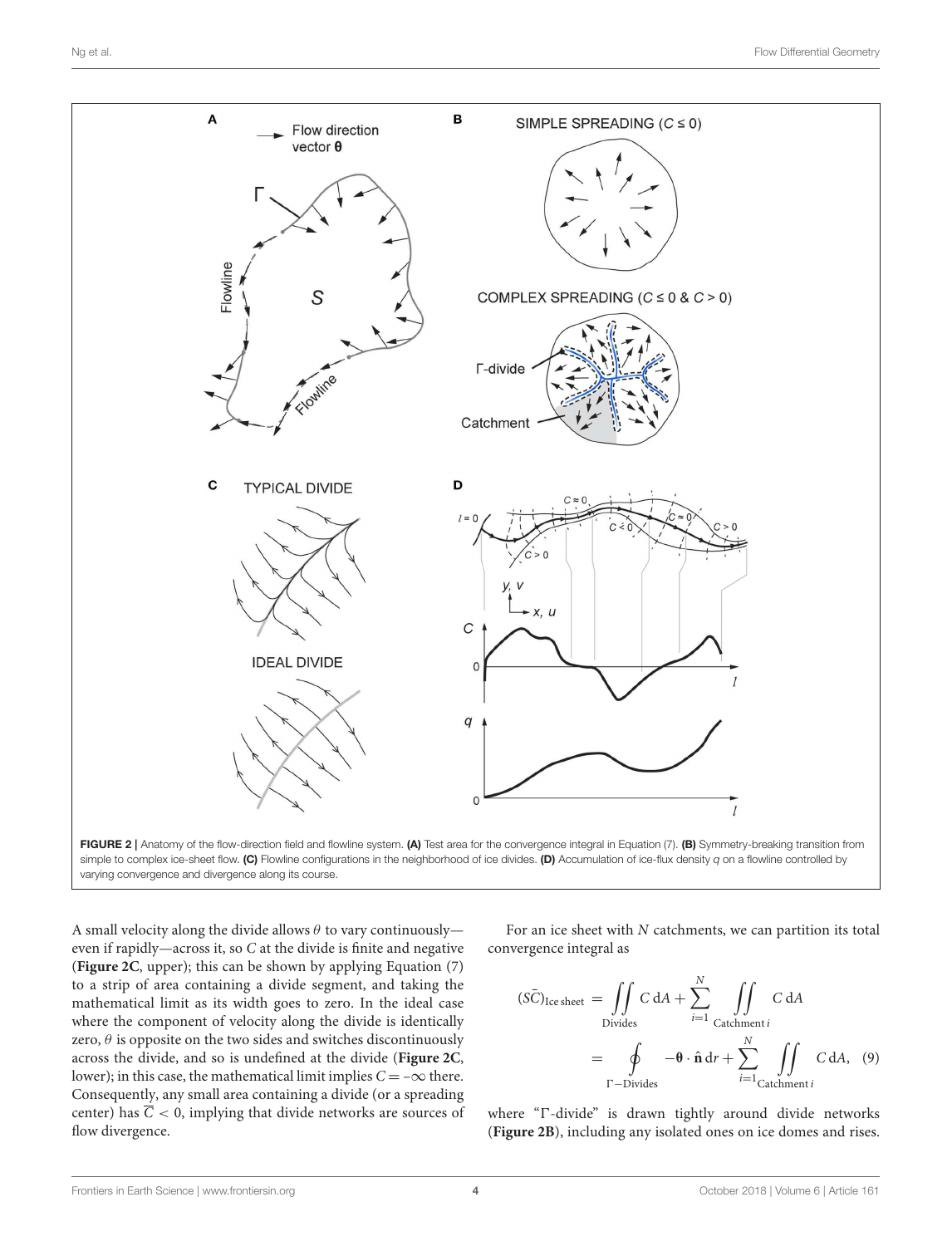<span id="page-4-0"></span>



A small velocity along the divide allows  $\theta$  to vary continuously even if rapidly—across it, so C at the divide is finite and negative (**[Figure 2C](#page-3-0)**, upper); this can be shown by applying Equation (7) to a strip of area containing a divide segment, and taking the mathematical limit as its width goes to zero. In the ideal case where the component of velocity along the divide is identically zero,  $\theta$  is opposite on the two sides and switches discontinuously across the divide, and so is undefined at the divide (**[Figure 2C](#page-3-0)**, lower); in this case, the mathematical limit implies  $C = -\infty$  there. Consequently, any small area containing a divide (or a spreading center) has  $\overline{C}$  < 0, implying that divide networks are sources of flow divergence.

For an ice sheet with N catchments, we can partition its total convergence integral as

$$
(S\bar{C})_{\text{Ice sheet}} = \iint\limits_{\text{Divides}} C \, \mathrm{d}A + \sum_{i=1}^{N} \iint\limits_{\text{Catchment } i} C \, \mathrm{d}A
$$

$$
= \oint\limits_{\Gamma-\text{Divides}} -\mathbf{\theta} \cdot \hat{\mathbf{n}} \, \mathrm{d}r + \sum_{i=1}^{N} \iint\limits_{\text{Catchment } i} C \, \mathrm{d}A, \quad (9)
$$

where "T-divide" is drawn tightly around divide networks (**[Figure 2B](#page-3-0)**), including any isolated ones on ice domes and rises.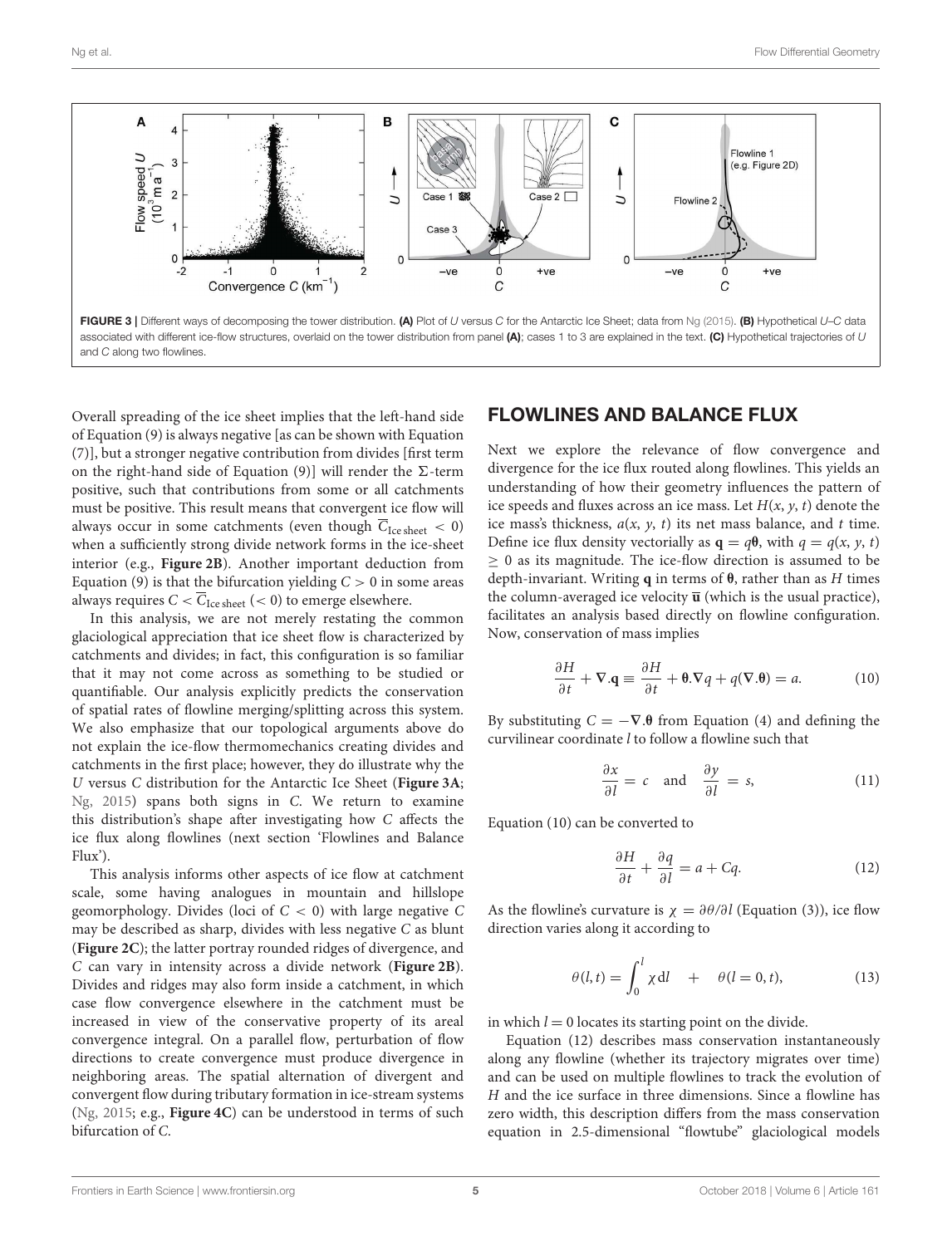

Overall spreading of the ice sheet implies that the left-hand side of Equation (9) is always negative [as can be shown with Equation (7)], but a stronger negative contribution from divides [first term on the right-hand side of Equation (9)] will render the  $\Sigma$ -term positive, such that contributions from some or all catchments must be positive. This result means that convergent ice flow will always occur in some catchments (even though  $\overline{C}_{\text{Ice sheet}} < 0$ ) when a sufficiently strong divide network forms in the ice-sheet interior (e.g., **[Figure 2B](#page-3-0)**). Another important deduction from Equation (9) is that the bifurcation yielding  $C > 0$  in some areas always requires  $C < \overline{C}_{\text{Ice sheet}}$  (< 0) to emerge elsewhere.

In this analysis, we are not merely restating the common glaciological appreciation that ice sheet flow is characterized by catchments and divides; in fact, this configuration is so familiar that it may not come across as something to be studied or quantifiable. Our analysis explicitly predicts the conservation of spatial rates of flowline merging/splitting across this system. We also emphasize that our topological arguments above do not explain the ice-flow thermomechanics creating divides and catchments in the first place; however, they do illustrate why the U versus C distribution for the Antarctic Ice Sheet (**[Figure 3A](#page-4-0)**; [Ng, 2015\)](#page-9-0) spans both signs in C. We return to examine this distribution's shape after investigating how C affects the ice flux along flowlines (next section 'Flowlines and Balance Flux').

<span id="page-5-0"></span>This analysis informs other aspects of ice flow at catchment scale, some having analogues in mountain and hillslope geomorphology. Divides (loci of  $C < 0$ ) with large negative C may be described as sharp, divides with less negative C as blunt (**[Figure 2C](#page-3-0)**); the latter portray rounded ridges of divergence, and C can vary in intensity across a divide network (**[Figure 2B](#page-3-0)**). Divides and ridges may also form inside a catchment, in which case flow convergence elsewhere in the catchment must be increased in view of the conservative property of its areal convergence integral. On a parallel flow, perturbation of flow directions to create convergence must produce divergence in neighboring areas. The spatial alternation of divergent and convergent flow during tributary formation in ice-stream systems [\(Ng, 2015;](#page-9-0) e.g., **[Figure 4C](#page-5-0)**) can be understood in terms of such bifurcation of C.

### FLOWLINES AND BALANCE FLUX

Next we explore the relevance of flow convergence and divergence for the ice flux routed along flowlines. This yields an understanding of how their geometry influences the pattern of ice speeds and fluxes across an ice mass. Let  $H(x, y, t)$  denote the ice mass's thickness,  $a(x, y, t)$  its net mass balance, and t time. Define ice flux density vectorially as  $q = q\theta$ , with  $q = q(x, y, t)$  $\geq$  0 as its magnitude. The ice-flow direction is assumed to be depth-invariant. Writing **q** in terms of θ, rather than as H times the column-averaged ice velocity  $\overline{u}$  (which is the usual practice), facilitates an analysis based directly on flowline configuration. Now, conservation of mass implies

$$
\frac{\partial H}{\partial t} + \nabla \cdot \mathbf{q} \equiv \frac{\partial H}{\partial t} + \mathbf{0} \cdot \nabla q + q(\nabla \cdot \mathbf{\theta}) = a.
$$
 (10)

By substituting  $C = -\nabla \theta$  from Equation (4) and defining the curvilinear coordinate l to follow a flowline such that

$$
\frac{\partial x}{\partial l} = c \quad \text{and} \quad \frac{\partial y}{\partial l} = s,\tag{11}
$$

Equation (10) can be converted to

$$
\frac{\partial H}{\partial t} + \frac{\partial q}{\partial l} = a + Cq.
$$
 (12)

As the flowline's curvature is  $\chi = \partial \theta / \partial l$  (Equation (3)), ice flow direction varies along it according to

$$
\theta(l,t) = \int_0^l \chi \, \mathrm{d}l \quad + \quad \theta(l=0,t), \tag{13}
$$

in which  $l = 0$  locates its starting point on the divide.

Equation (12) describes mass conservation instantaneously along any flowline (whether its trajectory migrates over time) and can be used on multiple flowlines to track the evolution of H and the ice surface in three dimensions. Since a flowline has zero width, this description differs from the mass conservation equation in 2.5-dimensional "flowtube" glaciological models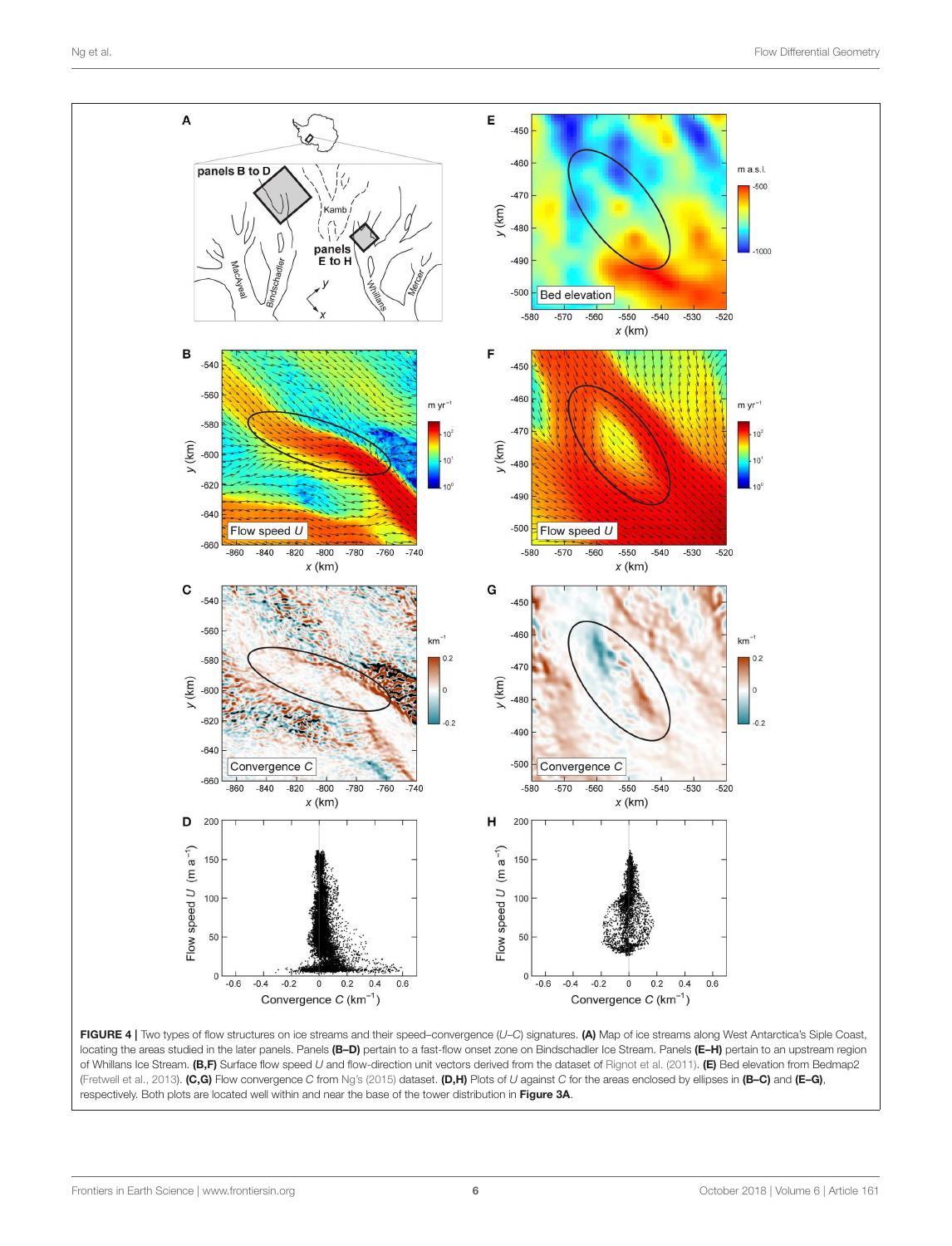

FIGURE 4 | Two types of flow structures on ice streams and their speed–convergence (U–C) signatures. (A) Map of ice streams along West Antarctica's Siple Coast, locating the areas studied in the later panels. Panels (B-D) pertain to a fast-flow onset zone on Bindschadler Ice Stream. Panels (E-H) pertain to an upstream region of Whillans Ice Stream. (B,F) Surface flow speed U and flow-direction unit vectors derived from the dataset of [Rignot et al. \(2011\)](#page-9-6). (E) Bed elevation from Bedmap2 [\(Fretwell et al., 2013\)](#page-8-2). (C,G) Flow convergence C from [Ng's \(2015\)](#page-9-0) dataset. (D,H) Plots of U against C for the areas enclosed by ellipses in (B–C) and (E–G), respectively. Both plots are located well within and near the base of the tower distribution in [Figure 3A](#page-4-0).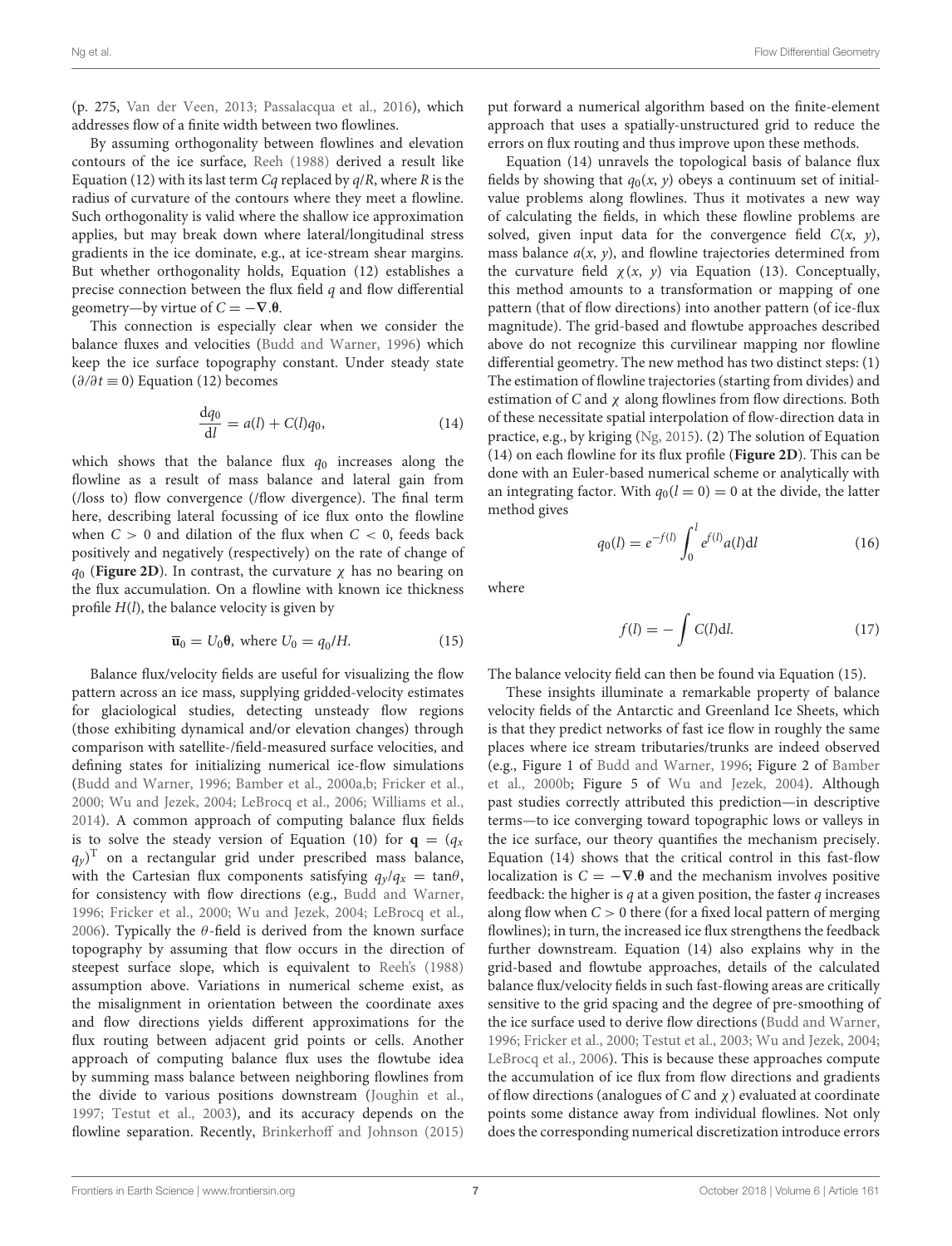(p. 275, [Van der Veen, 2013;](#page-9-7) [Passalacqua et al., 2016\)](#page-9-8), which addresses flow of a finite width between two flowlines.

By assuming orthogonality between flowlines and elevation contours of the ice surface, [Reeh \(1988\)](#page-9-9) derived a result like Equation (12) with its last term  $Cq$  replaced by  $q/R$ , where R is the radius of curvature of the contours where they meet a flowline. Such orthogonality is valid where the shallow ice approximation applies, but may break down where lateral/longitudinal stress gradients in the ice dominate, e.g., at ice-stream shear margins. But whether orthogonality holds, Equation (12) establishes a precise connection between the flux field  $q$  and flow differential geometry—by virtue of  $C = -\nabla \cdot \theta$ .

This connection is especially clear when we consider the balance fluxes and velocities [\(Budd and Warner, 1996\)](#page-8-3) which keep the ice surface topography constant. Under steady state  $(\partial/\partial t \equiv 0)$  Equation (12) becomes

$$
\frac{dq_0}{dl} = a(l) + C(l)q_0,
$$
\n(14)

which shows that the balance flux  $q_0$  increases along the flowline as a result of mass balance and lateral gain from (/loss to) flow convergence (/flow divergence). The final term here, describing lateral focussing of ice flux onto the flowline when  $C > 0$  and dilation of the flux when  $C < 0$ , feeds back positively and negatively (respectively) on the rate of change of  $q_0$  (**[Figure 2D](#page-3-0)**). In contrast, the curvature  $\chi$  has no bearing on the flux accumulation. On a flowline with known ice thickness profile  $H(l)$ , the balance velocity is given by

$$
\overline{\mathbf{u}}_0 = U_0 \mathbf{\theta}, \text{ where } U_0 = q_0 / H. \tag{15}
$$

Balance flux/velocity fields are useful for visualizing the flow pattern across an ice mass, supplying gridded-velocity estimates for glaciological studies, detecting unsteady flow regions (those exhibiting dynamical and/or elevation changes) through comparison with satellite-/field-measured surface velocities, and defining states for initializing numerical ice-flow simulations [\(Budd and Warner, 1996;](#page-8-3) [Bamber et al., 2000a,](#page-8-4)[b;](#page-8-5) [Fricker et al.,](#page-8-6) [2000;](#page-8-6) [Wu and Jezek, 2004;](#page-9-10) [LeBrocq et al., 2006;](#page-9-11) [Williams et al.,](#page-9-12) [2014\)](#page-9-12). A common approach of computing balance flux fields is to solve the steady version of Equation (10) for  $\mathbf{q} = (q_x)$  $(q_y)^{\rm T}$  on a rectangular grid under prescribed mass balance, with the Cartesian flux components satisfying  $q_y/q_x = \tan\theta$ , for consistency with flow directions (e.g., [Budd and Warner,](#page-8-3) [1996;](#page-8-3) [Fricker et al., 2000;](#page-8-6) [Wu and Jezek, 2004;](#page-9-10) [LeBrocq et al.,](#page-9-11) [2006\)](#page-9-11). Typically the  $\theta$ -field is derived from the known surface topography by assuming that flow occurs in the direction of steepest surface slope, which is equivalent to [Reeh's \(1988\)](#page-9-9) assumption above. Variations in numerical scheme exist, as the misalignment in orientation between the coordinate axes and flow directions yields different approximations for the flux routing between adjacent grid points or cells. Another approach of computing balance flux uses the flowtube idea by summing mass balance between neighboring flowlines from the divide to various positions downstream [\(Joughin et al.,](#page-9-13) [1997;](#page-9-13) [Testut et al., 2003\)](#page-9-14), and its accuracy depends on the flowline separation. Recently, [Brinkerhoff and Johnson \(2015\)](#page-8-7) put forward a numerical algorithm based on the finite-element approach that uses a spatially-unstructured grid to reduce the errors on flux routing and thus improve upon these methods.

Equation (14) unravels the topological basis of balance flux fields by showing that  $q_0(x, y)$  obeys a continuum set of initialvalue problems along flowlines. Thus it motivates a new way of calculating the fields, in which these flowline problems are solved, given input data for the convergence field  $C(x, y)$ , mass balance  $a(x, y)$ , and flowline trajectories determined from the curvature field  $\chi(x, y)$  via Equation (13). Conceptually, this method amounts to a transformation or mapping of one pattern (that of flow directions) into another pattern (of ice-flux magnitude). The grid-based and flowtube approaches described above do not recognize this curvilinear mapping nor flowline differential geometry. The new method has two distinct steps: (1) The estimation of flowline trajectories (starting from divides) and estimation of  $C$  and  $\chi$  along flowlines from flow directions. Both of these necessitate spatial interpolation of flow-direction data in practice, e.g., by kriging [\(Ng, 2015\)](#page-9-0). (2) The solution of Equation (14) on each flowline for its flux profile (**[Figure 2D](#page-3-0)**). This can be done with an Euler-based numerical scheme or analytically with an integrating factor. With  $q_0(l = 0) = 0$  at the divide, the latter method gives

$$
q_0(l) = e^{-f(l)} \int_0^l e^{f(l)} a(l) \mathrm{d}l \tag{16}
$$

where

$$
f(l) = -\int C(l) \mathrm{d}l. \tag{17}
$$

The balance velocity field can then be found via Equation (15).

These insights illuminate a remarkable property of balance velocity fields of the Antarctic and Greenland Ice Sheets, which is that they predict networks of fast ice flow in roughly the same places where ice stream tributaries/trunks are indeed observed (e.g., Figure 1 of [Budd and Warner, 1996;](#page-8-3) Figure 2 of Bamber et al., [2000b;](#page-8-5) Figure 5 of [Wu and Jezek, 2004\)](#page-9-10). Although past studies correctly attributed this prediction—in descriptive terms—to ice converging toward topographic lows or valleys in the ice surface, our theory quantifies the mechanism precisely. Equation (14) shows that the critical control in this fast-flow localization is  $C = -\nabla \cdot \theta$  and the mechanism involves positive feedback: the higher is  $q$  at a given position, the faster  $q$  increases along flow when  $C > 0$  there (for a fixed local pattern of merging flowlines); in turn, the increased ice flux strengthens the feedback further downstream. Equation (14) also explains why in the grid-based and flowtube approaches, details of the calculated balance flux/velocity fields in such fast-flowing areas are critically sensitive to the grid spacing and the degree of pre-smoothing of the ice surface used to derive flow directions [\(Budd and Warner,](#page-8-3) [1996;](#page-8-3) [Fricker et al., 2000;](#page-8-6) [Testut et al., 2003;](#page-9-14) [Wu and Jezek, 2004;](#page-9-10) [LeBrocq et al., 2006\)](#page-9-11). This is because these approaches compute the accumulation of ice flux from flow directions and gradients of flow directions (analogues of C and  $\chi$ ) evaluated at coordinate points some distance away from individual flowlines. Not only does the corresponding numerical discretization introduce errors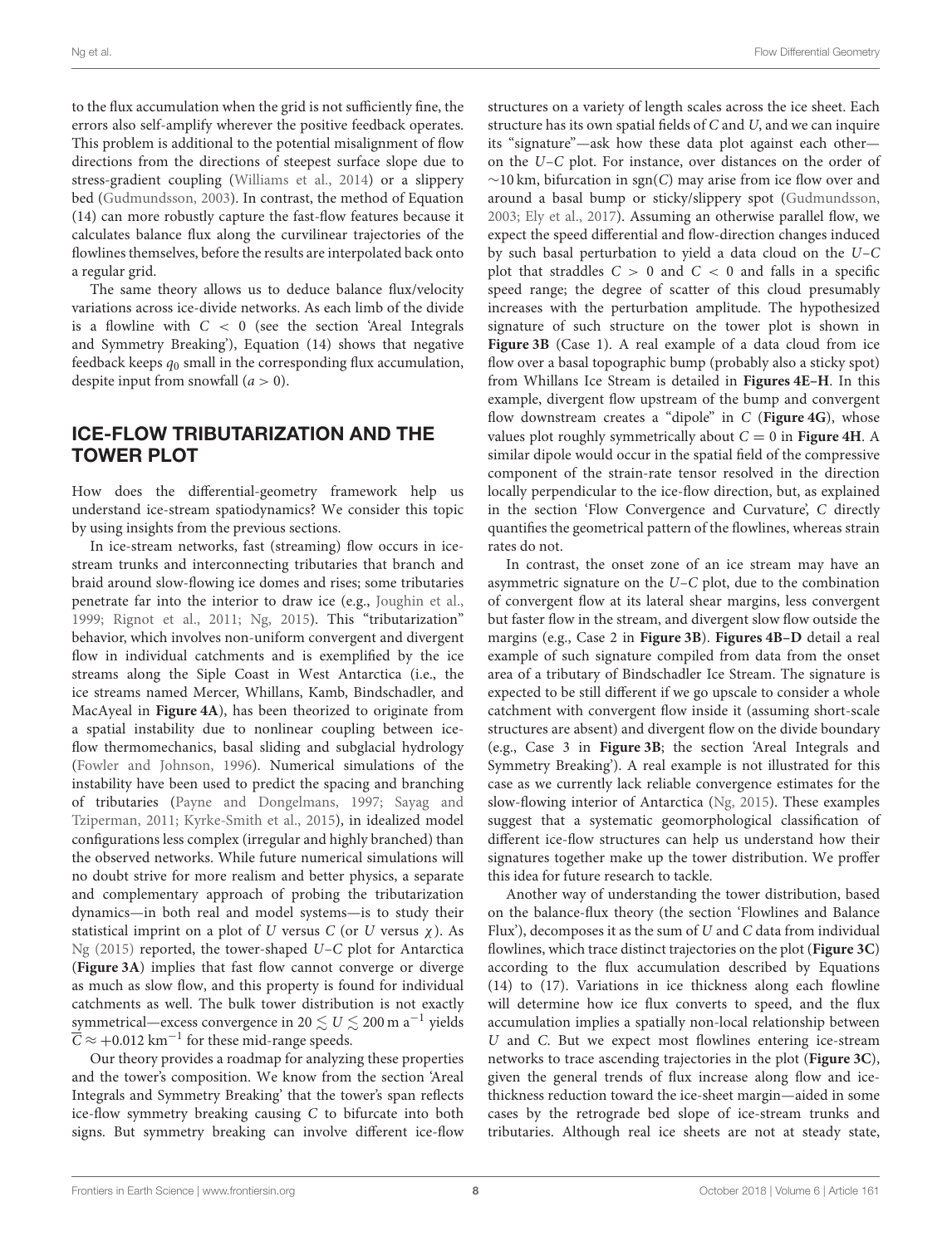to the flux accumulation when the grid is not sufficiently fine, the errors also self-amplify wherever the positive feedback operates. This problem is additional to the potential misalignment of flow directions from the directions of steepest surface slope due to stress-gradient coupling [\(Williams et al., 2014\)](#page-9-12) or a slippery bed [\(Gudmundsson, 2003\)](#page-9-15). In contrast, the method of Equation (14) can more robustly capture the fast-flow features because it calculates balance flux along the curvilinear trajectories of the flowlines themselves, before the results are interpolated back onto a regular grid.

The same theory allows us to deduce balance flux/velocity variations across ice-divide networks. As each limb of the divide is a flowline with  $C < 0$  (see the section 'Areal Integrals and Symmetry Breaking'), Equation (14) shows that negative feedback keeps  $q_0$  small in the corresponding flux accumulation, despite input from snowfall  $(a > 0)$ .

# ICE-FLOW TRIBUTARIZATION AND THE TOWER PLOT

How does the differential-geometry framework help us understand ice-stream spatiodynamics? We consider this topic by using insights from the previous sections.

In ice-stream networks, fast (streaming) flow occurs in icestream trunks and interconnecting tributaries that branch and braid around slow-flowing ice domes and rises; some tributaries penetrate far into the interior to draw ice (e.g., [Joughin et al.,](#page-9-16) [1999;](#page-9-16) [Rignot et al., 2011;](#page-9-6) [Ng, 2015\)](#page-9-0). This "tributarization" behavior, which involves non-uniform convergent and divergent flow in individual catchments and is exemplified by the ice streams along the Siple Coast in West Antarctica (i.e., the ice streams named Mercer, Whillans, Kamb, Bindschadler, and MacAyeal in **[Figure 4A](#page-5-0)**), has been theorized to originate from a spatial instability due to nonlinear coupling between iceflow thermomechanics, basal sliding and subglacial hydrology [\(Fowler and Johnson, 1996\)](#page-8-8). Numerical simulations of the instability have been used to predict the spacing and branching of tributaries [\(Payne and Dongelmans, 1997;](#page-9-17) Sayag and Tziperman, [2011;](#page-9-18) [Kyrke-Smith et al., 2015\)](#page-9-19), in idealized model configurations less complex (irregular and highly branched) than the observed networks. While future numerical simulations will no doubt strive for more realism and better physics, a separate and complementary approach of probing the tributarization dynamics—in both real and model systems—is to study their statistical imprint on a plot of  $U$  versus  $C$  (or  $U$  versus  $\chi$ ). As [Ng \(2015\)](#page-9-0) reported, the tower-shaped U–C plot for Antarctica (**[Figure 3A](#page-4-0)**) implies that fast flow cannot converge or diverge as much as slow flow, and this property is found for individual catchments as well. The bulk tower distribution is not exactly symmetrical—excess convergence in 20  $\lesssim U \lesssim$  200 m a $^{-1}$  yields  $\overline{\overline{C}} \approx +0.012\ \mathrm{km^{-1}}$  for these mid-range speeds.

<span id="page-8-7"></span><span id="page-8-5"></span><span id="page-8-4"></span><span id="page-8-3"></span><span id="page-8-1"></span>Our theory provides a roadmap for analyzing these properties and the tower's composition. We know from the section 'Areal Integrals and Symmetry Breaking' that the tower's span reflects ice-flow symmetry breaking causing C to bifurcate into both signs. But symmetry breaking can involve different ice-flow structures on a variety of length scales across the ice sheet. Each structure has its own spatial fields of C and U, and we can inquire its "signature"—ask how these data plot against each other on the U–C plot. For instance, over distances on the order of  $\sim$ 10 km, bifurcation in sgn(C) may arise from ice flow over and around a basal bump or sticky/slippery spot [\(Gudmundsson,](#page-9-15) [2003;](#page-9-15) [Ely et al., 2017\)](#page-8-9). Assuming an otherwise parallel flow, we expect the speed differential and flow-direction changes induced by such basal perturbation to yield a data cloud on the U–C plot that straddles  $C > 0$  and  $C < 0$  and falls in a specific speed range; the degree of scatter of this cloud presumably increases with the perturbation amplitude. The hypothesized signature of such structure on the tower plot is shown in [Figure 3B](#page-4-0) (Case 1). A real example of a data cloud from ice flow over a basal topographic bump (probably also a sticky spot) from Whillans Ice Stream is detailed in **[Figures 4E–H](#page-5-0)**. In this example, divergent flow upstream of the bump and convergent flow downstream creates a "dipole" in C (**[Figure 4G](#page-5-0)**), whose values plot roughly symmetrically about  $C = 0$  in **[Figure 4H](#page-5-0)**. A similar dipole would occur in the spatial field of the compressive component of the strain-rate tensor resolved in the direction locally perpendicular to the ice-flow direction, but, as explained in the section 'Flow Convergence and Curvature', C directly quantifies the geometrical pattern of the flowlines, whereas strain rates do not.

In contrast, the onset zone of an ice stream may have an asymmetric signature on the U–C plot, due to the combination of convergent flow at its lateral shear margins, less convergent but faster flow in the stream, and divergent slow flow outside the margins (e.g., Case 2 in **[Figure 3B](#page-4-0)**). **[Figures 4B–D](#page-5-0)** detail a real example of such signature compiled from data from the onset area of a tributary of Bindschadler Ice Stream. The signature is expected to be still different if we go upscale to consider a whole catchment with convergent flow inside it (assuming short-scale structures are absent) and divergent flow on the divide boundary (e.g., Case 3 in **[Figure 3B](#page-4-0)**; the section 'Areal Integrals and Symmetry Breaking'). A real example is not illustrated for this case as we currently lack reliable convergence estimates for the slow-flowing interior of Antarctica [\(Ng, 2015\)](#page-9-0). These examples suggest that a systematic geomorphological classification of different ice-flow structures can help us understand how their signatures together make up the tower distribution. We proffer this idea for future research to tackle.

<span id="page-8-9"></span><span id="page-8-8"></span><span id="page-8-6"></span><span id="page-8-2"></span><span id="page-8-0"></span>Another way of understanding the tower distribution, based on the balance-flux theory (the section 'Flowlines and Balance Flux'), decomposes it as the sum of  $U$  and  $C$  data from individual flowlines, which trace distinct trajectories on the plot (**[Figure 3C](#page-4-0)**) according to the flux accumulation described by Equations (14) to (17). Variations in ice thickness along each flowline will determine how ice flux converts to speed, and the flux accumulation implies a spatially non-local relationship between U and C. But we expect most flowlines entering ice-stream networks to trace ascending trajectories in the plot (**[Figure 3C](#page-4-0)**), given the general trends of flux increase along flow and icethickness reduction toward the ice-sheet margin—aided in some cases by the retrograde bed slope of ice-stream trunks and tributaries. Although real ice sheets are not at steady state,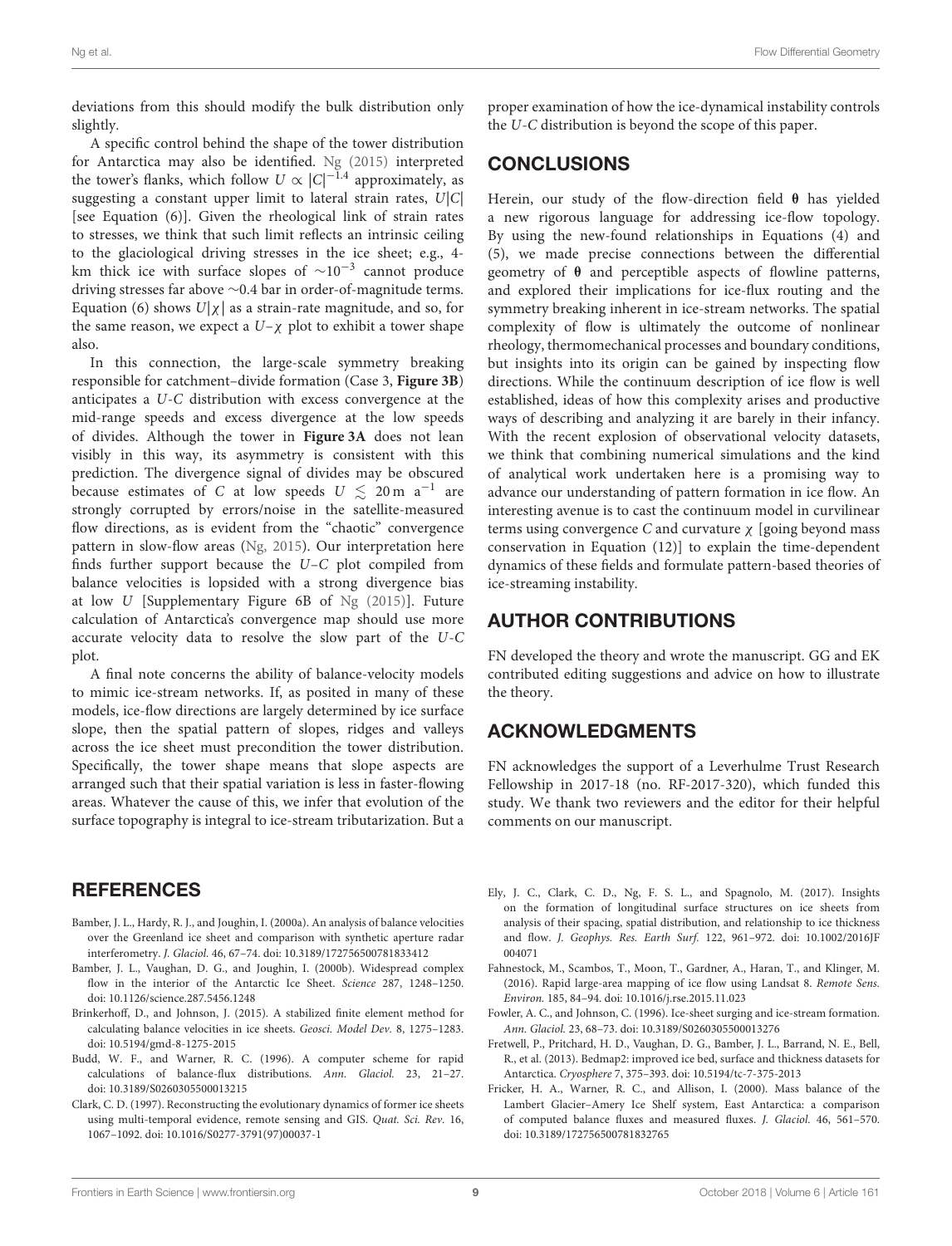<span id="page-9-15"></span>deviations from this should modify the bulk distribution only slightly.

<span id="page-9-19"></span><span id="page-9-16"></span><span id="page-9-13"></span>A specific control behind the shape of the tower distribution for Antarctica may also be identified. [Ng \(2015\)](#page-9-0) interpreted the tower's flanks, which follow  $U \propto |C|^{-1.4}$  approximately, as suggesting a constant upper limit to lateral strain rates,  $U|C|$ [see Equation (6)]. Given the rheological link of strain rates to stresses, we think that such limit reflects an intrinsic ceiling to the glaciological driving stresses in the ice sheet; e.g., 4 km thick ice with surface slopes of  $\sim 10^{-3}$  cannot produce driving stresses far above ∼0.4 bar in order-of-magnitude terms. Equation (6) shows  $U|\chi|$  as a strain-rate magnitude, and so, for the same reason, we expect a  $U-\chi$  plot to exhibit a tower shape also.

<span id="page-9-11"></span><span id="page-9-8"></span><span id="page-9-5"></span><span id="page-9-4"></span><span id="page-9-3"></span><span id="page-9-2"></span><span id="page-9-1"></span><span id="page-9-0"></span>In this connection, the large-scale symmetry breaking responsible for catchment–divide formation (Case 3, **[Figure 3B](#page-4-0)**) anticipates a U-C distribution with excess convergence at the mid-range speeds and excess divergence at the low speeds of divides. Although the tower in **[Figure 3A](#page-4-0)** does not lean visibly in this way, its asymmetry is consistent with this prediction. The divergence signal of divides may be obscured because estimates of C at low speeds  $U \lesssim 20 \, \text{m}$  a<sup>-1</sup> are strongly corrupted by errors/noise in the satellite-measured flow directions, as is evident from the "chaotic" convergence pattern in slow-flow areas [\(Ng, 2015\)](#page-9-0). Our interpretation here finds further support because the U–C plot compiled from balance velocities is lopsided with a strong divergence bias at low U [Supplementary Figure 6B of  $Ng$  (2015)]. Future calculation of Antarctica's convergence map should use more accurate velocity data to resolve the slow part of the U-C plot.

<span id="page-9-17"></span>A final note concerns the ability of balance-velocity models to mimic ice-stream networks. If, as posited in many of these models, ice-flow directions are largely determined by ice surface slope, then the spatial pattern of slopes, ridges and valleys across the ice sheet must precondition the tower distribution. Specifically, the tower shape means that slope aspects are arranged such that their spatial variation is less in faster-flowing areas. Whatever the cause of this, we infer that evolution of the surface topography is integral to ice-stream tributarization. But a

#### **REFERENCES**

- Bamber, J. L., Hardy, R. J., and Joughin, I. (2000a). An analysis of balance velocities over the Greenland ice sheet and comparison with synthetic aperture radar interferometry. J. Glaciol. 46, 67–74. doi: [10.3189/172756500781833412](https://doi.org/10.3189/172756500781833412)
- Bamber, J. L., Vaughan, D. G., and Joughin, I. (2000b). Widespread complex flow in the interior of the Antarctic Ice Sheet. Science 287, 1248–1250. doi: [10.1126/science.287.5456.1248](https://doi.org/10.1126/science.287.5456.1248)
- Brinkerhoff, D., and Johnson, J. (2015). A stabilized finite element method for calculating balance velocities in ice sheets. Geosci. Model Dev. 8, 1275–1283. doi: [10.5194/gmd-8-1275-2015](https://doi.org/10.5194/gmd-8-1275-2015)
- Budd, W. F., and Warner, R. C. (1996). A computer scheme for rapid calculations of balance-flux distributions. Ann. Glaciol. 23, 21–27. doi: [10.3189/S0260305500013215](https://doi.org/10.3189/S0260305500013215)
- Clark, C. D. (1997). Reconstructing the evolutionary dynamics of former ice sheets using multi-temporal evidence, remote sensing and GIS. Quat. Sci. Rev. 16, 1067–1092. doi: [10.1016/S0277-3791\(97\)00037-1](https://doi.org/10.1016/S0277-3791(97)00037-1)

<span id="page-9-9"></span>proper examination of how the ice-dynamical instability controls the U-C distribution is beyond the scope of this paper.

## <span id="page-9-6"></span>**CONCLUSIONS**

<span id="page-9-18"></span><span id="page-9-14"></span><span id="page-9-12"></span><span id="page-9-10"></span><span id="page-9-7"></span>Herein, our study of the flow-direction field  $\theta$  has yielded a new rigorous language for addressing ice-flow topology. By using the new-found relationships in Equations (4) and (5), we made precise connections between the differential geometry of θ and perceptible aspects of flowline patterns, and explored their implications for ice-flux routing and the symmetry breaking inherent in ice-stream networks. The spatial complexity of flow is ultimately the outcome of nonlinear rheology, thermomechanical processes and boundary conditions, but insights into its origin can be gained by inspecting flow directions. While the continuum description of ice flow is well established, ideas of how this complexity arises and productive ways of describing and analyzing it are barely in their infancy. With the recent explosion of observational velocity datasets, we think that combining numerical simulations and the kind of analytical work undertaken here is a promising way to advance our understanding of pattern formation in ice flow. An interesting avenue is to cast the continuum model in curvilinear terms using convergence C and curvature  $\chi$  [going beyond mass conservation in Equation (12)] to explain the time-dependent dynamics of these fields and formulate pattern-based theories of ice-streaming instability.

## AUTHOR CONTRIBUTIONS

FN developed the theory and wrote the manuscript. GG and EK contributed editing suggestions and advice on how to illustrate the theory.

## ACKNOWLEDGMENTS

FN acknowledges the support of a Leverhulme Trust Research Fellowship in 2017-18 (no. RF-2017-320), which funded this study. We thank two reviewers and the editor for their helpful comments on our manuscript.

- Ely, J. C., Clark, C. D., Ng, F. S. L., and Spagnolo, M. (2017). Insights on the formation of longitudinal surface structures on ice sheets from analysis of their spacing, spatial distribution, and relationship to ice thickness and flow. J. Geophys. Res. Earth Surf. [122, 961–972. doi: 10.1002/2016JF](https://doi.org/10.1002/2016JF004071) 004071
- Fahnestock, M., Scambos, T., Moon, T., Gardner, A., Haran, T., and Klinger, M. (2016). Rapid large-area mapping of ice flow using Landsat 8. Remote Sens. Environ. 185, 84–94. doi: [10.1016/j.rse.2015.11.023](https://doi.org/10.1016/j.rse.2015.11.023)
- Fowler, A. C., and Johnson, C. (1996). Ice-sheet surging and ice-stream formation. Ann. Glaciol. 23, 68–73. doi: [10.3189/S0260305500013276](https://doi.org/10.3189/S0260305500013276)
- Fretwell, P., Pritchard, H. D., Vaughan, D. G., Bamber, J. L., Barrand, N. E., Bell, R., et al. (2013). Bedmap2: improved ice bed, surface and thickness datasets for Antarctica. Cryosphere 7, 375–393. doi: [10.5194/tc-7-375-2013](https://doi.org/10.5194/tc-7-375-2013)
- Fricker, H. A., Warner, R. C., and Allison, I. (2000). Mass balance of the Lambert Glacier–Amery Ice Shelf system, East Antarctica: a comparison of computed balance fluxes and measured fluxes. J. Glaciol. 46, 561–570. doi: [10.3189/172756500781832765](https://doi.org/10.3189/172756500781832765)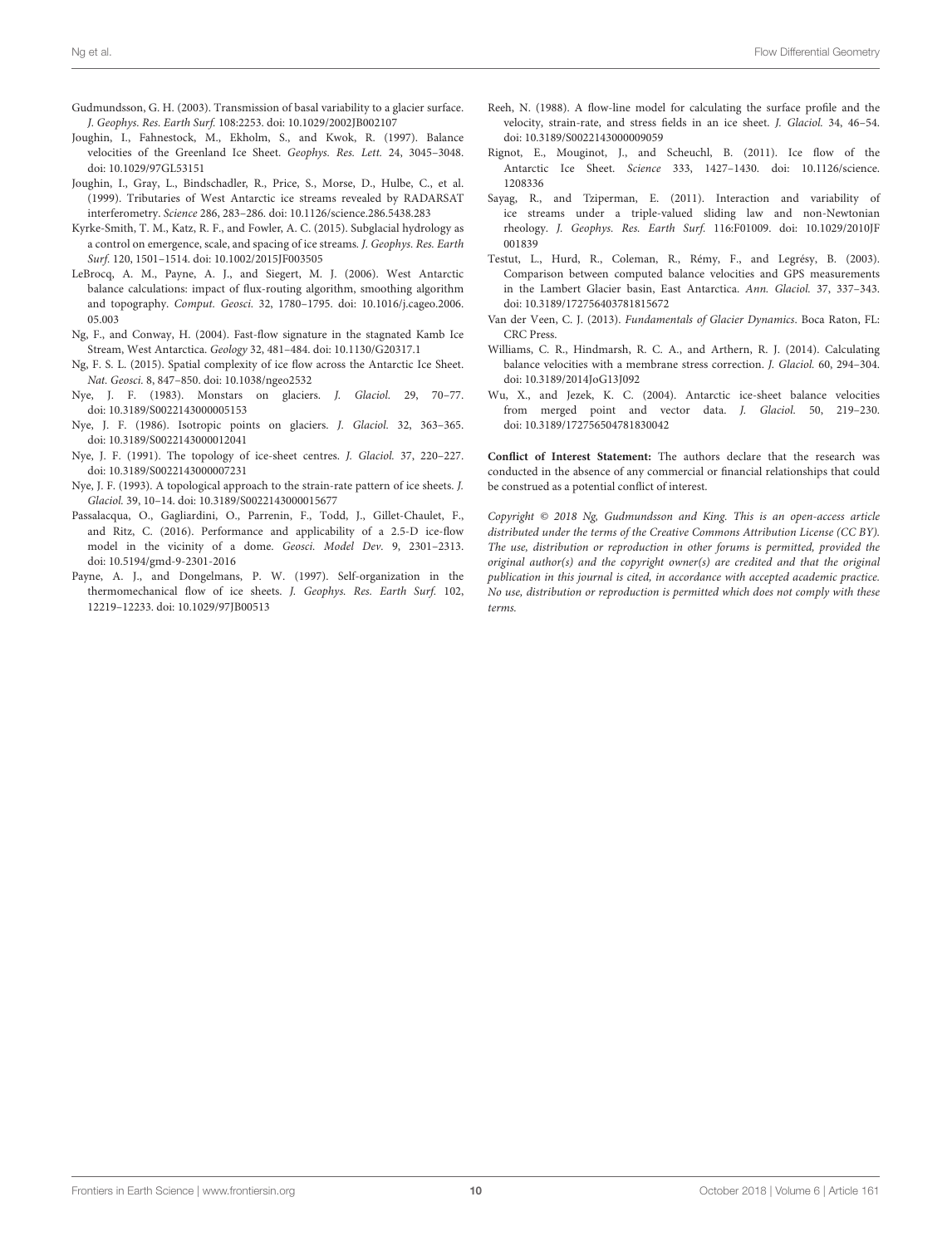- Gudmundsson, G. H. (2003). Transmission of basal variability to a glacier surface. J. Geophys. Res. Earth Surf. 108:2253. doi: [10.1029/2002JB002107](https://doi.org/10.1029/2002JB002107)
- <span id="page-10-0"></span>Joughin, I., Fahnestock, M., Ekholm, S., and Kwok, R. (1997). Balance velocities of the Greenland Ice Sheet. Geophys. Res. Lett. 24, 3045–3048. doi: [10.1029/97GL53151](https://doi.org/10.1029/97GL53151)
- Joughin, I., Gray, L., Bindschadler, R., Price, S., Morse, D., Hulbe, C., et al. (1999). Tributaries of West Antarctic ice streams revealed by RADARSAT interferometry. Science 286, 283–286. doi: [10.1126/science.286.5438.283](https://doi.org/10.1126/science.286.5438.283)
- Kyrke-Smith, T. M., Katz, R. F., and Fowler, A. C. (2015). Subglacial hydrology as a control on emergence, scale, and spacing of ice streams. J. Geophys. Res. Earth Surf. 120, 1501–1514. doi: [10.1002/2015JF003505](https://doi.org/10.1002/2015JF003505)
- LeBrocq, A. M., Payne, A. J., and Siegert, M. J. (2006). West Antarctic balance calculations: impact of flux-routing algorithm, smoothing algorithm and topography. Comput. Geosci. [32, 1780–1795. doi: 10.1016/j.cageo.2006.](https://doi.org/10.1016/j.cageo.2006.05.003) 05.003
- Ng, F., and Conway, H. (2004). Fast-flow signature in the stagnated Kamb Ice Stream, West Antarctica. Geology 32, 481–484. doi: [10.1130/G20317.1](https://doi.org/10.1130/G20317.1)
- Ng, F. S. L. (2015). Spatial complexity of ice flow across the Antarctic Ice Sheet. Nat. Geosci. 8, 847–850. doi: [10.1038/ngeo2532](https://doi.org/10.1038/ngeo2532)
- Nye, J. F. (1983). Monstars on glaciers. J. Glaciol. 29, 70–77. doi: [10.3189/S0022143000005153](https://doi.org/10.3189/S0022143000005153)
- Nye, J. F. (1986). Isotropic points on glaciers. J. Glaciol. 32, 363–365. doi: [10.3189/S0022143000012041](https://doi.org/10.3189/S0022143000012041)
- Nye, J. F. (1991). The topology of ice-sheet centres. J. Glaciol. 37, 220–227. doi: [10.3189/S0022143000007231](https://doi.org/10.3189/S0022143000007231)
- Nye, J. F. (1993). A topological approach to the strain-rate pattern of ice sheets. J. Glaciol. 39, 10–14. doi: [10.3189/S0022143000015677](https://doi.org/10.3189/S0022143000015677)
- Passalacqua, O., Gagliardini, O., Parrenin, F., Todd, J., Gillet-Chaulet, F., and Ritz, C. (2016). Performance and applicability of a 2.5-D ice-flow model in the vicinity of a dome. Geosci. Model Dev. 9, 2301–2313. doi: [10.5194/gmd-9-2301-2016](https://doi.org/10.5194/gmd-9-2301-2016)
- Payne, A. J., and Dongelmans, P. W. (1997). Self-organization in the thermomechanical flow of ice sheets. J. Geophys. Res. Earth Surf. 102, 12219–12233. doi: [10.1029/97JB00513](https://doi.org/10.1029/97JB00513)
- Reeh, N. (1988). A flow-line model for calculating the surface profile and the velocity, strain-rate, and stress fields in an ice sheet. J. Glaciol. 34, 46–54. doi: [10.3189/S0022143000009059](https://doi.org/10.3189/S0022143000009059)
- Rignot, E., Mouginot, J., and Scheuchl, B. (2011). Ice flow of the Antarctic Ice Sheet. Science [333, 1427–1430. doi: 10.1126/science.](https://doi.org/10.1126/science.1208336) 1208336
- Sayag, R., and Tziperman, E. (2011). Interaction and variability of ice streams under a triple-valued sliding law and non-Newtonian rheology. J. Geophys. Res. Earth Surf. [116:F01009. doi: 10.1029/2010JF](https://doi.org/10.1029/2010JF001839) 001839
- Testut, L., Hurd, R., Coleman, R., Rémy, F., and Legrésy, B. (2003). Comparison between computed balance velocities and GPS measurements in the Lambert Glacier basin, East Antarctica. Ann. Glaciol. 37, 337–343. doi: [10.3189/172756403781815672](https://doi.org/10.3189/172756403781815672)
- Van der Veen, C. J. (2013). Fundamentals of Glacier Dynamics. Boca Raton, FL: CRC Press.
- Williams, C. R., Hindmarsh, R. C. A., and Arthern, R. J. (2014). Calculating balance velocities with a membrane stress correction. J. Glaciol. 60, 294–304. doi: [10.3189/2014JoG13J092](https://doi.org/10.3189/2014JoG13J092)
- Wu, X., and Jezek, K. C. (2004). Antarctic ice-sheet balance velocities from merged point and vector data. J. Glaciol. 50, 219–230. doi: [10.3189/172756504781830042](https://doi.org/10.3189/172756504781830042)

**Conflict of Interest Statement:** The authors declare that the research was conducted in the absence of any commercial or financial relationships that could be construed as a potential conflict of interest.

Copyright © 2018 Ng, Gudmundsson and King. This is an open-access article distributed under the terms of the [Creative Commons Attribution License \(CC BY\).](http://creativecommons.org/licenses/by/4.0/) The use, distribution or reproduction in other forums is permitted, provided the original author(s) and the copyright owner(s) are credited and that the original publication in this journal is cited, in accordance with accepted academic practice. No use, distribution or reproduction is permitted which does not comply with these terms.